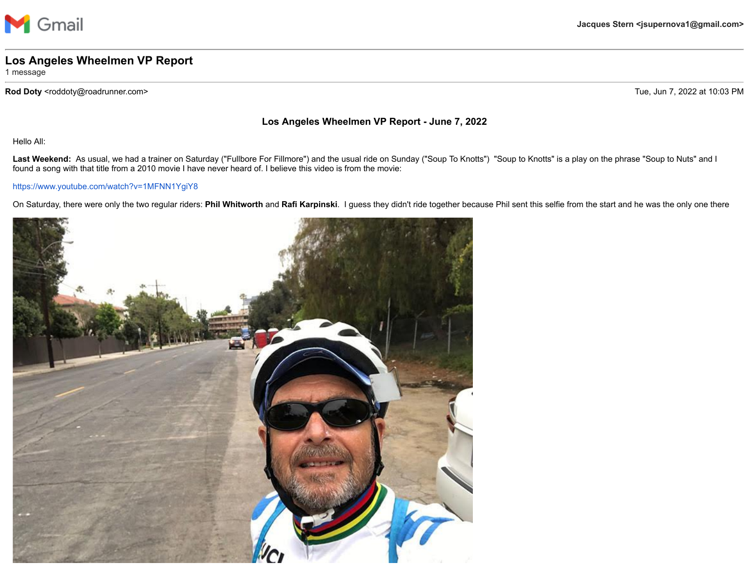

## **Los Angeles Wheelmen VP Report**

1 message

Rod Doty <roddoty@roadrunner.com> Tue, Jun 7, 2022 at 10:03 PM

## **Los Angeles Wheelmen VP Report - June 7, 2022**

Hello All:

Last Weekend: As usual, we had a trainer on Saturday ("Fullbore For Fillmore") and the usual ride on Sunday ("Soup To Knotts") "Soup to Knotts" is a play on the phrase "Soup to Nuts" and I found a song with that title from a 2010 movie I have never heard of. I believe this video is from the movie:

## <https://www.youtube.com/watch?v=1MFNN1YgiY8>

On Saturday, there were only the two regular riders: **Phil Whitworth** and **Rafi Karpinski**. I guess they didn't ride together because Phil sent this selfie from the start and he was the only one there

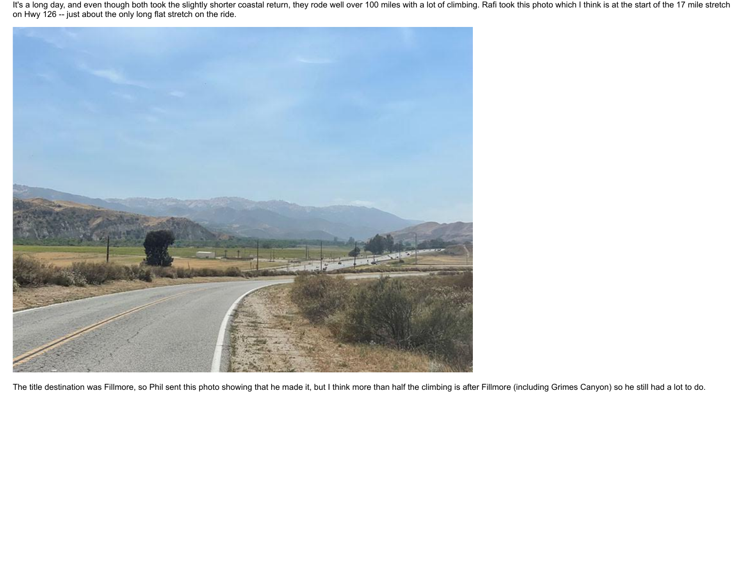It's a long day, and even though both took the slightly shorter coastal return, they rode well over 100 miles with a lot of climbing. Rafi took this photo which I think is at the start of the 17 mile stretch on Hwy 126 -- just about the only long flat stretch on the ride.



The title destination was Fillmore, so Phil sent this photo showing that he made it, but I think more than half the climbing is after Fillmore (including Grimes Canyon) so he still had a lot to do.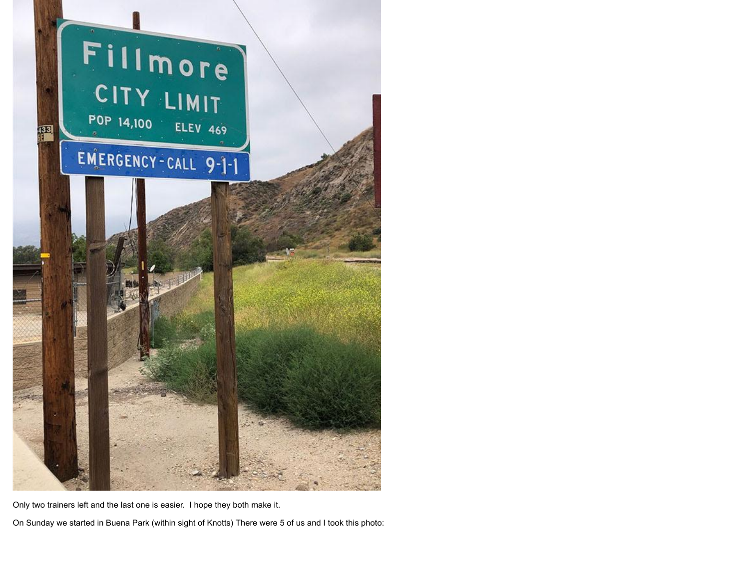

Only two trainers left and the last one is easier. I hope they both make it.

On Sunday we started in Buena Park (within sight of Knotts) There were 5 of us and I took this photo: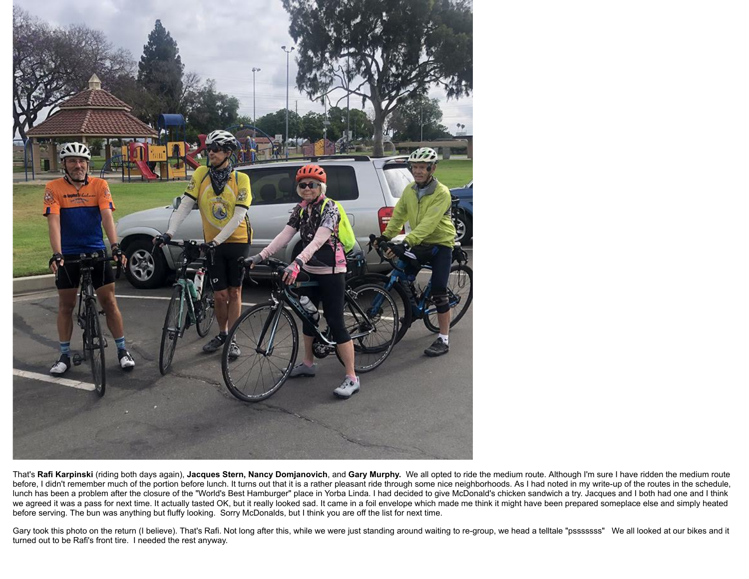

That's **Rafi Karpinski** (riding both days again), **Jacques Stern, Nancy Domjanovich**, and **Gary Murphy.** We all opted to ride the medium route. Although I'm sure I have ridden the medium route before, I didn't remember much of the portion before lunch. It turns out that it is a rather pleasant ride through some nice neighborhoods. As I had noted in my write-up of the routes in the schedule, lunch has been a problem after the closure of the "World's Best Hamburger" place in Yorba Linda. I had decided to give McDonald's chicken sandwich a try. Jacques and I both had one and I think we agreed it was a pass for next time. It actually tasted OK, but it really looked sad. It came in a foil envelope which made me think it might have been prepared someplace else and simply heated before serving. The bun was anything but fluffy looking. Sorry McDonalds, but I think you are off the list for next time.

Gary took this photo on the return (I believe). That's Rafi. Not long after this, while we were just standing around waiting to re-group, we head a telltale "psssssss" We all looked at our bikes and it turned out to be Rafi's front tire. I needed the rest anyway.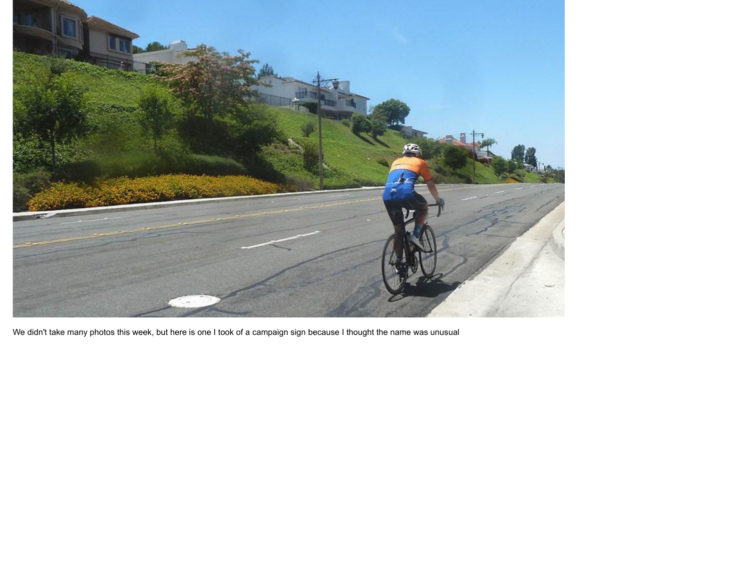

We didn't take many photos this week, but here is one I took of a campaign sign because I thought the name was unusual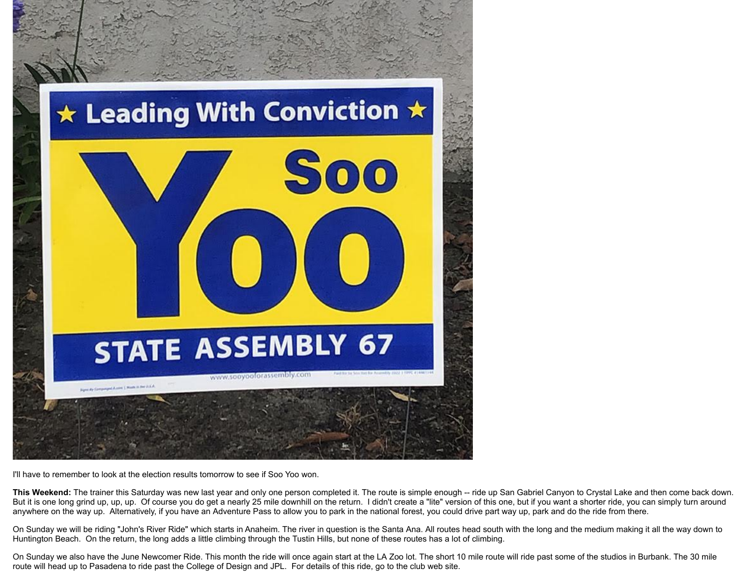

I'll have to remember to look at the election results tomorrow to see if Soo Yoo won.

This Weekend: The trainer this Saturday was new last year and only one person completed it. The route is simple enough -- ride up San Gabriel Canyon to Crystal Lake and then come back down. But it is one long grind up, up, up. Of course you do get a nearly 25 mile downhill on the return. I didn't create a "lite" version of this one, but if you want a shorter ride, you can simply turn around anywhere on the way up. Alternatively, if you have an Adventure Pass to allow you to park in the national forest, you could drive part way up, park and do the ride from there.

On Sunday we will be riding "John's River Ride" which starts in Anaheim. The river in question is the Santa Ana. All routes head south with the long and the medium making it all the way down to Huntington Beach. On the return, the long adds a little climbing through the Tustin Hills, but none of these routes has a lot of climbing.

On Sunday we also have the June Newcomer Ride. This month the ride will once again start at the LA Zoo lot. The short 10 mile route will ride past some of the studios in Burbank. The 30 mile route will head up to Pasadena to ride past the College of Design and JPL. For details of this ride, go to the club web site.